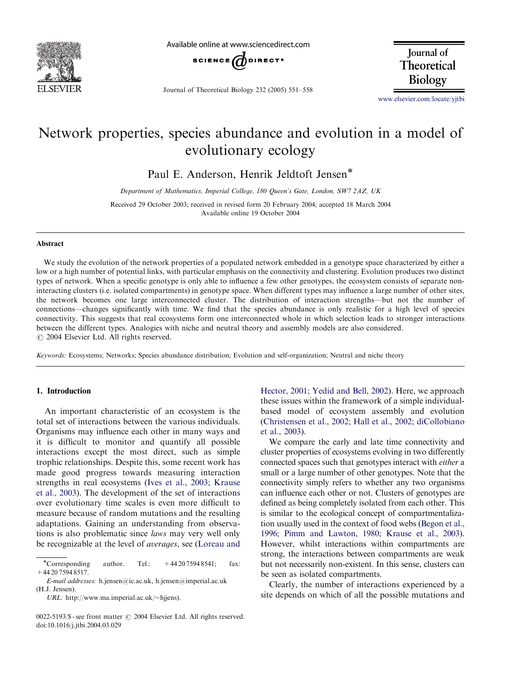

Available online at www.sciencedirect.com



Journal of Theoretical Biology 232 (2005) 551–558

Journal of Theoretical **Biology** 

<www.elsevier.com/locate/yjtbi>

# Network properties, species abundance and evolution in a model of evolutionary ecology

Paul E. Anderson, Henrik Jeldtoft Jensen\*

Department of Mathematics, Imperial College, 180 Queen's Gate, London, SW7 2AZ, UK

Received 29 October 2003; received in revised form 20 February 2004; accepted 18 March 2004 Available online 19 October 2004

#### Abstract

We study the evolution of the network properties of a populated network embedded in a genotype space characterized by either a low or a high number of potential links, with particular emphasis on the connectivity and clustering. Evolution produces two distinct types of network. When a specific genotype is only able to influence a few other genotypes, the ecosystem consists of separate noninteracting clusters (i.e. isolated compartments) in genotype space. When different types may influence a large number of other sites, the network becomes one large interconnected cluster. The distribution of interaction strengths—but not the number of connections—changes significantly with time. We find that the species abundance is only realistic for a high level of species connectivity. This suggests that real ecosystems form one interconnected whole in which selection leads to stronger interactions between the different types. Analogies with niche and neutral theory and assembly models are also considered.  $\odot$  2004 Elsevier Ltd. All rights reserved.

Keywords: Ecosystems; Networks; Species abundance distribution; Evolution and self-organization; Neutral and niche theory

#### 1. Introduction

An important characteristic of an ecosystem is the total set of interactions between the various individuals. Organisms may influence each other in many ways and it is difficult to monitor and quantify all possible interactions except the most direct, such as simple trophic relationships. Despite this, some recent work has made good progress towards measuring interaction strengths in real ecosystems ([Ives et al.,2003; Krause](#page-7-0) [et al.,2003\)](#page-7-0). The development of the set of interactions over evolutionary time scales is even more difficult to measure because of random mutations and the resulting adaptations. Gaining an understanding from observations is also problematic since laws may very well only be recognizable at the level of *averages*, see ([Loreau and](#page-7-0)

E-mail addresses: h.jensen@ic.ac.uk, h.jensen@imperial.ac.uk (H.J. Jensen).

URL: http://www.ma.imperial.ac.uk/ $\sim$ hjiens).

Hector, 2001; Yedid and Bell, 2002). Here, we approach these issues within the framework of a simple individualbased model of ecosystem assembly and evolution ([Christensen et al.,2002; Hall et al.,2002; diCollobiano](#page-7-0) [et al.,2003\)](#page-7-0).

We compare the early and late time connectivity and cluster properties of ecosystems evolving in two differently connected spaces such that genotypes interact with either a small or a large number of other genotypes. Note that the connectivity simply refers to whether any two organisms can influence each other or not. Clusters of genotypes are defined as being completely isolated from each other. This is similar to the ecological concept of compartmentalization usually used in the context of food webs ([Begon et al.,](#page-7-0) [1996; Pimm and Lawton,1980; Krause et al.,2003\)](#page-7-0). However, whilst interactions within compartments are strong, the interactions between compartments are weak but not necessarily non-existent. In this sense, clusters can be seen as isolated compartments.

Clearly, the number of interactions experienced by a site depends on which of all the possible mutations and

<sup>\*</sup>Corresponding author. Tel.:  $+442075948541$ ; fax: +44 20 7594 8517.

 $0022-5193/$ \$ - see front matter  $\odot$  2004 Elsevier Ltd. All rights reserved. doi:10.1016/j.jtbi.2004.03.029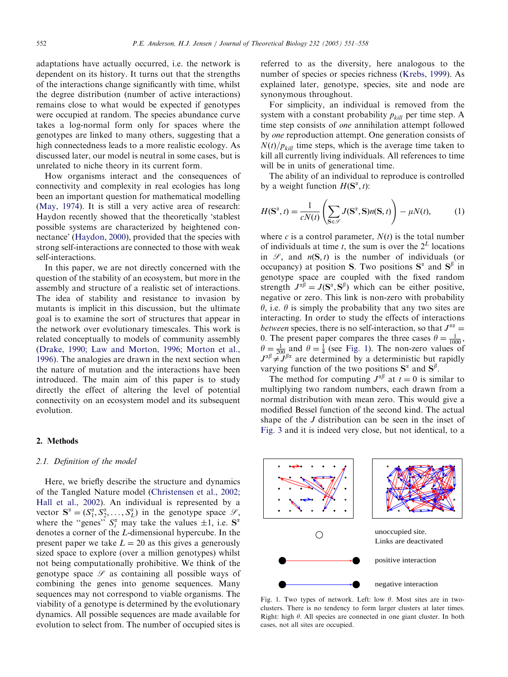adaptations have actually occurred, i.e. the network is dependent on its history. It turns out that the strengths of the interactions change significantly with time, whilst the degree distribution (number of active interactions) remains close to what would be expected if genotypes were occupied at random. The species abundance curve takes a log-normal form only for spaces where the genotypes are linked to many others, suggesting that a high connectedness leads to a more realistic ecology. As discussed later, our model is neutral in some cases, but is unrelated to niche theory in its current form.

How organisms interact and the consequences of connectivity and complexity in real ecologies has long been an important question for mathematical modelling ([May,1974\)](#page-7-0). It is still a very active area of research: Haydon recently showed that the theoretically 'stablest possible systems are characterized by heightened connectance' (Haydon, 2000), provided that the species with strong self-interactions are connected to those with weak self-interactions.

In this paper, we are not directly concerned with the question of the stability of an ecosystem, but more in the assembly and structure of a realistic set of interactions. The idea of stability and resistance to invasion by mutants is implicit in this discussion, but the ultimate goal is to examine the sort of structures that appear in the network over evolutionary timescales. This work is related conceptually to models of community assembly ([Drake,1990; Law and Morton,1996; Morton et al.,](#page-7-0) [1996](#page-7-0)). The analogies are drawn in the next section when the nature of mutation and the interactions have been introduced. The main aim of this paper is to study directly the effect of altering the level of potential connectivity on an ecosystem model and its subsequent evolution.

#### 2. Methods

#### 2.1. Definition of the model

Here, we briefly describe the structure and dynamics of the Tangled Nature model [\(Christensen et al.,2002;](#page-7-0) [Hall et al.,2002](#page-7-0)). An individual is represented by a vector  $S^{\alpha} = (S_1^{\alpha}, S_2^{\alpha}, \dots, S_L^{\alpha})$  in the genotype space  $\mathcal{S}$ , where the "genes"  $S_i^{\alpha}$  may take the values  $\pm 1$ , i.e.  $S^{\alpha}$ denotes a corner of the L-dimensional hypercube. In the present paper we take  $L = 20$  as this gives a generously sized space to explore (over a million genotypes) whilst not being computationally prohibitive. We think of the genotype space  $\mathscr S$  as containing all possible ways of combining the genes into genome sequences. Many sequences may not correspond to viable organisms. The viability of a genotype is determined by the evolutionary dynamics. All possible sequences are made available for evolution to select from. The number of occupied sites is

referred to as the diversity, here analogous to the number of species or species richness ([Krebs,1999\)](#page-7-0). As explained later, genotype, species, site and node are synonymous throughout.

For simplicity, an individual is removed from the system with a constant probability  $p_{kill}$  per time step. A time step consists of one annihilation attempt followed by one reproduction attempt. One generation consists of  $N(t)/p_{kill}$  time steps, which is the average time taken to kill all currently living individuals. All references to time will be in units of generational time.

The ability of an individual to reproduce is controlled by a weight function  $H(\mathbf{S}^\alpha, t)$ :

$$
H(\mathbf{S}^{\alpha}, t) = \frac{1}{cN(t)} \left( \sum_{\mathbf{S} \in \mathcal{S}} J(\mathbf{S}^{\alpha}, \mathbf{S}) n(\mathbf{S}, t) \right) - \mu N(t), \tag{1}
$$

where c is a control parameter,  $N(t)$  is the total number of individuals at time t, the sum is over the  $2^L$  locations in  $\mathcal{S}$ , and  $n(S, t)$  is the number of individuals (or occupancy) at position S. Two positions  $S^{\alpha}$  and  $S^{\beta}$  in genotype space are coupled with the fixed random strength  $J^{\alpha\beta} = J(\mathbf{S}^{\alpha}, \mathbf{S}^{\beta})$  which can be either positive, negative or zero. This link is non-zero with probability  $\theta$ , i.e.  $\theta$  is simply the probability that any two sites are interacting. In order to study the effects of interactions between species, there is no self-interaction, so that  $J^{\alpha\alpha} =$ 0. The present paper compares the three cases  $\theta = \frac{1}{1000}$ ,  $\theta = \frac{1}{4}$  (see Fig. 1). The non-zero values of  $J^{\alpha\beta} \neq \tilde{J}^{\beta\alpha}$  are determined by a deterministic but rapidly varying function of the two positions  $S^{\alpha}$  and  $S^{\beta}$ .

The method for computing  $J^{\alpha\beta}$  at  $t = 0$  is similar to multiplying two random numbers, each drawn from a normal distribution with mean zero. This would give a modified Bessel function of the second kind. The actual shape of the J distribution can be seen in the inset of [Fig. 3](#page-3-0) and it is indeed very close, but not identical, to a



Fig. 1. Two types of network. Left: low  $\theta$ . Most sites are in twoclusters. There is no tendency to form larger clusters at later times. Right: high  $\theta$ . All species are connected in one giant cluster. In both cases, not all sites are occupied.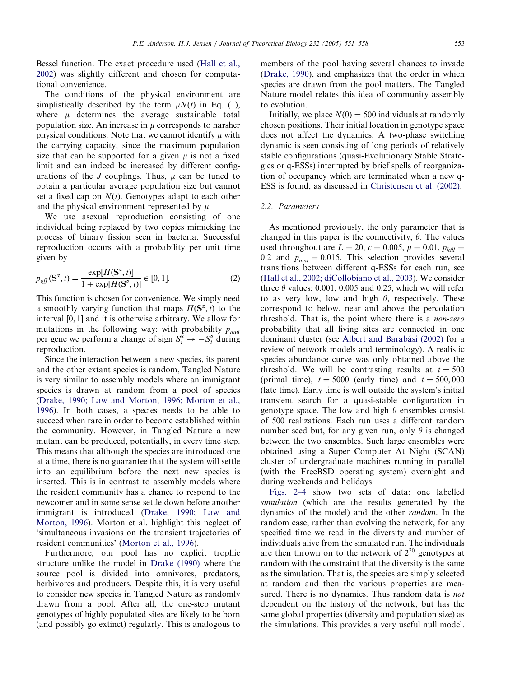Bessel function. The exact procedure used [\(Hall et al.,](#page-7-0) [2002](#page-7-0)) was slightly different and chosen for computational convenience.

The conditions of the physical environment are simplistically described by the term  $\mu N(t)$  in Eq. (1), where  $\mu$  determines the average sustainable total population size. An increase in  $\mu$  corresponds to harsher physical conditions. Note that we cannot identify  $\mu$  with the carrying capacity, since the maximum population size that can be supported for a given  $\mu$  is not a fixed limit and can indeed be increased by different configurations of the  $J$  couplings. Thus,  $\mu$  can be tuned to obtain a particular average population size but cannot set a fixed cap on  $N(t)$ . Genotypes adapt to each other and the physical environment represented by  $\mu$ .

We use asexual reproduction consisting of one individual being replaced by two copies mimicking the process of binary fission seen in bacteria. Successful reproduction occurs with a probability per unit time given by

$$
p_{off}(\mathbf{S}^{\alpha}, t) = \frac{\exp[H(\mathbf{S}^{\alpha}, t)]}{1 + \exp[H(\mathbf{S}^{\alpha}, t)]} \in [0, 1].
$$
 (2)

This function is chosen for convenience. We simply need a smoothly varying function that maps  $H(\mathbf{S}^{\alpha}, t)$  to the interval  $[0, 1]$  and it is otherwise arbitrary. We allow for mutations in the following way: with probability  $p_{mut}$ per gene we perform a change of sign  $S_i^{\alpha} \to -S_i^{\alpha}$  during reproduction.

Since the interaction between a new species, its parent and the other extant species is random, Tangled Nature is very similar to assembly models where an immigrant species is drawn at random from a pool of species ([Drake,1990; Law and Morton,1996; Morton et al.,](#page-7-0) [1996](#page-7-0)). In both cases, a species needs to be able to succeed when rare in order to become established within the community. However, in Tangled Nature a new mutant can be produced, potentially, in every time step. This means that although the species are introduced one at a time, there is no guarantee that the system will settle into an equilibrium before the next new species is inserted. This is in contrast to assembly models where the resident community has a chance to respond to the newcomer and in some sense settle down before another immigrant is introduced (Drake, 1990; Law and [Morton,1996\)](#page-7-0). Morton et al. highlight this neglect of 'simultaneous invasions on the transient trajectories of resident communities' ([Morton et al.,1996](#page-7-0)).

Furthermore, our pool has no explicit trophic structure unlike the model in [Drake \(1990\)](#page-7-0) where the source pool is divided into omnivores, predators, herbivores and producers. Despite this, it is very useful to consider new species in Tangled Nature as randomly drawn from a pool. After all, the one-step mutant genotypes of highly populated sites are likely to be born (and possibly go extinct) regularly. This is analogous to

members of the pool having several chances to invade (Drake, 1990), and emphasizes that the order in which species are drawn from the pool matters. The Tangled Nature model relates this idea of community assembly to evolution.

Initially, we place  $N(0) = 500$  individuals at randomly chosen positions. Their initial location in genotype space does not affect the dynamics. A two-phase switching dynamic is seen consisting of long periods of relatively stable configurations (quasi-Evolutionary Stable Strategies or q-ESSs) interrupted by brief spells of reorganization of occupancy which are terminated when a new q-ESS is found, as discussed in [Christensen et al. \(2002\).](#page-7-0)

## 2.2. Parameters

As mentioned previously, the only parameter that is changed in this paper is the connectivity,  $\theta$ . The values used throughout are  $L = 20$ ,  $c = 0.005$ ,  $\mu = 0.01$ ,  $p_{kill} =$ 0.2 and  $p_{mut} = 0.015$ . This selection provides several transitions between different q-ESSs for each run, see ([Hall et al.,2002; diCollobiano et al.,2003](#page-7-0)). We consider three  $\theta$  values: 0.001, 0.005 and 0.25, which we will refer to as very low, low and high  $\theta$ , respectively. These correspond to below, near and above the percolation threshold. That is, the point where there is a non-zero probability that all living sites are connected in one dominant cluster (see Albert and Barabási (2002) for a review of network models and terminology). A realistic species abundance curve was only obtained above the threshold. We will be contrasting results at  $t = 500$ (primal time),  $t = 5000$  (early time) and  $t = 500,000$ (late time). Early time is well outside the system's initial transient search for a quasi-stable configuration in genotype space. The low and high  $\theta$  ensembles consist of 500 realizations. Each run uses a different random number seed but, for any given run, only  $\theta$  is changed between the two ensembles. Such large ensembles were obtained using a Super Computer At Night (SCAN) cluster of undergraduate machines running in parallel (with the FreeBSD operating system) overnight and during weekends and holidays.

[Figs. 2–4](#page-3-0) show two sets of data: one labelled simulation (which are the results generated by the dynamics of the model) and the other random. In the random case, rather than evolving the network, for any specified time we read in the diversity and number of individuals alive from the simulated run. The individuals are then thrown on to the network of  $2^{20}$  genotypes at random with the constraint that the diversity is the same as the simulation. That is, the species are simply selected at random and then the various properties are measured. There is no dynamics. Thus random data is *not* dependent on the history of the network, but has the same global properties (diversity and population size) as the simulations. This provides a very useful null model.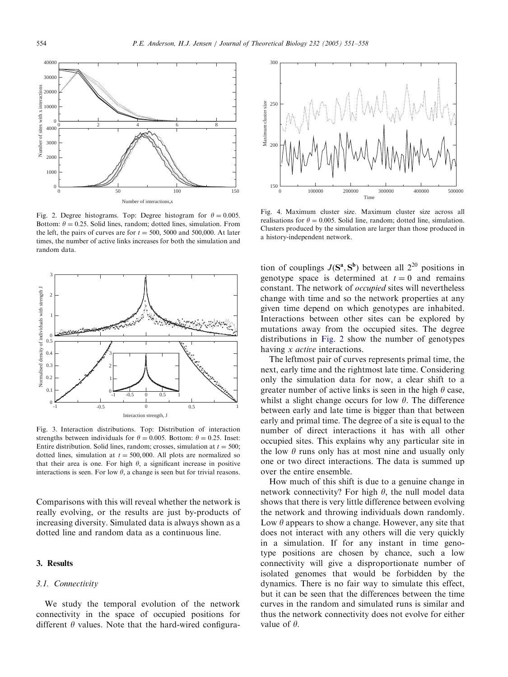<span id="page-3-0"></span>

Fig. 2. Degree histograms. Top: Degree histogram for  $\theta = 0.005$ . Bottom:  $\theta = 0.25$ . Solid lines, random; dotted lines, simulation. From the left, the pairs of curves are for  $t = 500$ , 5000 and 500,000. At later times, the number of active links increases for both the simulation and random data.



Fig. 3. Interaction distributions. Top: Distribution of interaction strengths between individuals for  $\theta = 0.005$ . Bottom:  $\theta = 0.25$ . Inset: Entire distribution. Solid lines, random; crosses, simulation at  $t = 500$ ; dotted lines, simulation at  $t = 500,000$ . All plots are normalized so that their area is one. For high  $\theta$ , a significant increase in positive interactions is seen. For low  $\theta$ , a change is seen but for trivial reasons.

Comparisons with this will reveal whether the network is really evolving, or the results are just by-products of increasing diversity. Simulated data is always shown as a dotted line and random data as a continuous line.

### 3. Results

#### 3.1. Connectivity

We study the temporal evolution of the network connectivity in the space of occupied positions for different  $\theta$  values. Note that the hard-wired configura-



Fig. 4. Maximum cluster size. Maximum cluster size across all realisations for  $\theta = 0.005$ . Solid line, random; dotted line, simulation. Clusters produced by the simulation are larger than those produced in a history-independent network.

tion of couplings  $J(\mathbf{S}^a, \mathbf{S}^b)$  between all  $2^{20}$  positions in genotype space is determined at  $t = 0$  and remains constant. The network of occupied sites will nevertheless change with time and so the network properties at any given time depend on which genotypes are inhabited. Interactions between other sites can be explored by mutations away from the occupied sites. The degree distributions in Fig. 2 show the number of genotypes having *x active* interactions.

The leftmost pair of curves represents primal time, the next, early time and the rightmost late time. Considering only the simulation data for now, a clear shift to a greater number of active links is seen in the high  $\theta$  case. whilst a slight change occurs for low  $\theta$ . The difference between early and late time is bigger than that between early and primal time. The degree of a site is equal to the number of direct interactions it has with all other occupied sites. This explains why any particular site in the low  $\theta$  runs only has at most nine and usually only one or two direct interactions. The data is summed up over the entire ensemble.

How much of this shift is due to a genuine change in network connectivity? For high  $\theta$ , the null model data shows that there is very little difference between evolving the network and throwing individuals down randomly. Low  $\theta$  appears to show a change. However, any site that does not interact with any others will die very quickly in a simulation. If for any instant in time genotype positions are chosen by chance, such a low connectivity will give a disproportionate number of isolated genomes that would be forbidden by the dynamics. There is no fair way to simulate this effect, but it can be seen that the differences between the time curves in the random and simulated runs is similar and thus the network connectivity does not evolve for either value of  $\theta$ .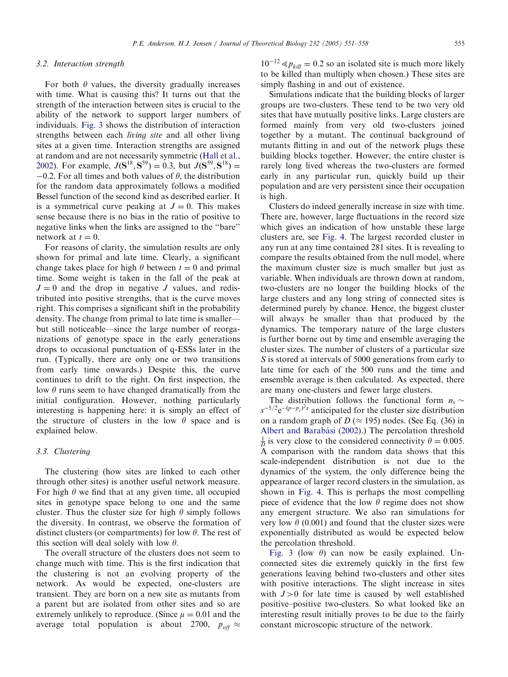#### 3.2. Interaction strength

For both  $\theta$  values, the diversity gradually increases with time. What is causing this? It turns out that the strength of the interaction between sites is crucial to the ability of the network to support larger numbers of individuals. [Fig. 3](#page-3-0) shows the distribution of interaction strengths between each living site and all other living sites at a given time. Interaction strengths are assigned at random and are not necessarily symmetric [\(Hall et al.,](#page-7-0) [2002](#page-7-0)). For example,  $J(\mathbf{S}^{18}, \mathbf{S}^{59}) = 0.3$ , but  $J(\mathbf{S}^{59}, \mathbf{S}^{18}) =$  $-0.2$ . For all times and both values of  $\theta$ , the distribution for the random data approximately follows a modified Bessel function of the second kind as described earlier. It is a symmetrical curve peaking at  $J = 0$ . This makes sense because there is no bias in the ratio of positive to negative links when the links are assigned to the ''bare'' network at  $t = 0$ .

For reasons of clarity, the simulation results are only shown for primal and late time. Clearly, a significant change takes place for high  $\theta$  between  $t = 0$  and primal time. Some weight is taken in the fall of the peak at  $J = 0$  and the drop in negative J values, and redistributed into positive strengths, that is the curve moves right. This comprises a significant shift in the probability density. The change from primal to late time is smaller but still noticeable—since the large number of reorganizations of genotype space in the early generations drops to occasional punctuation of q-ESSs later in the run. (Typically, there are only one or two transitions from early time onwards.) Despite this, the curve continues to drift to the right. On first inspection, the low  $\theta$  runs seem to have changed dramatically from the initial configuration. However, nothing particularly interesting is happening here: it is simply an effect of the structure of clusters in the low  $\theta$  space and is explained below.

#### 3.3. Clustering

The clustering (how sites are linked to each other through other sites) is another useful network measure. For high  $\theta$  we find that at any given time, all occupied sites in genotype space belong to one and the same cluster. Thus the cluster size for high  $\theta$  simply follows the diversity. In contrast, we observe the formation of distinct clusters (or compartments) for low  $\theta$ . The rest of this section will deal solely with low  $\theta$ .

The overall structure of the clusters does not seem to change much with time. This is the first indication that the clustering is not an evolving property of the network. As would be expected, one-clusters are transient. They are born on a new site as mutants from a parent but are isolated from other sites and so are extremely unlikely to reproduce. (Since  $\mu = 0.01$  and the average total population is about 2700,  $p_{off} \approx$ 

 $10^{-12} \ll p_{kill} = 0.2$  so an isolated site is much more likely to be killed than multiply when chosen.) These sites are simply flashing in and out of existence.

Simulations indicate that the building blocks of larger groups are two-clusters. These tend to be two very old sites that have mutually positive links. Large clusters are formed mainly from very old two-clusters joined together by a mutant. The continual background of mutants flitting in and out of the network plugs these building blocks together. However, the entire cluster is rarely long lived whereas the two-clusters are formed early in any particular run, quickly build up their population and are very persistent since their occupation is high.

Clusters do indeed generally increase in size with time. There are, however, large fluctuations in the record size which gives an indication of how unstable these large clusters are, see [Fig. 4.](#page-3-0) The largest recorded cluster in any run at any time contained 281 sites. It is revealing to compare the results obtained from the null model, where the maximum cluster size is much smaller but just as variable. When individuals are thrown down at random, two-clusters are no longer the building blocks of the large clusters and any long string of connected sites is determined purely by chance. Hence, the biggest cluster will always be smaller than that produced by the dynamics. The temporary nature of the large clusters is further borne out by time and ensemble averaging the cluster sizes. The number of clusters of a particular size S is stored at intervals of 5000 generations from early to late time for each of the 500 runs and the time and ensemble average is then calculated. As expected, there are many one-clusters and fewer large clusters.

The distribution follows the functional form  $n_s \sim$  $s^{-5/2}e^{-(p-p_c)^2s}$  anticipated for the cluster size distribution on a random graph of  $D \approx 195$ ) nodes. (See Eq. (36) in Albert and Barabási (2002).) The percolation threshold  $\frac{1}{D}$  is very close to the considered connectivity  $\theta = 0.005$ . A comparison with the random data shows that this scale-independent distribution is not due to the dynamics of the system, the only difference being the appearance of larger record clusters in the simulation, as shown in [Fig. 4](#page-3-0). This is perhaps the most compelling piece of evidence that the low  $\theta$  regime does not show any emergent structure. We also ran simulations for very low  $\theta$  (0.001) and found that the cluster sizes were exponentially distributed as would be expected below the percolation threshold.

[Fig. 3](#page-3-0) (low  $\theta$ ) can now be easily explained. Unconnected sites die extremely quickly in the first few generations leaving behind two-clusters and other sites with positive interactions. The slight increase in sites with  $J>0$  for late time is caused by well established positive–positive two-clusters. So what looked like an interesting result initially proves to be due to the fairly constant microscopic structure of the network.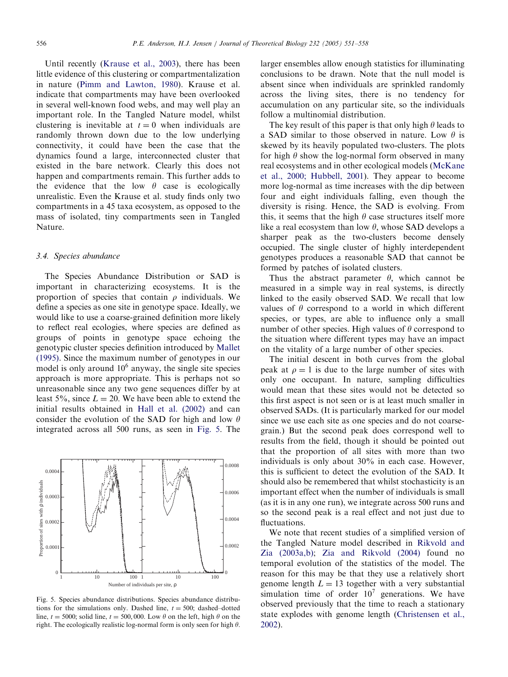Until recently (Krause et al., 2003), there has been little evidence of this clustering or compartmentalization in nature ([Pimm and Lawton,1980\)](#page-7-0). Krause et al. indicate that compartments may have been overlooked in several well-known food webs, and may well play an important role. In the Tangled Nature model, whilst clustering is inevitable at  $t = 0$  when individuals are randomly thrown down due to the low underlying connectivity, it could have been the case that the dynamics found a large, interconnected cluster that existed in the bare network. Clearly this does not happen and compartments remain. This further adds to the evidence that the low  $\theta$  case is ecologically unrealistic. Even the Krause et al. study finds only two compartments in a 45 taxa ecosystem, as opposed to the mass of isolated, tiny compartments seen in Tangled Nature.

#### 3.4. Species abundance

The Species Abundance Distribution or SAD is important in characterizing ecosystems. It is the proportion of species that contain  $\rho$  individuals. We define a species as one site in genotype space. Ideally, we would like to use a coarse-grained definition more likely to reflect real ecologies, where species are defined as groups of points in genotype space echoing the genotypic cluster species definition introduced by [Mallet](#page-7-0) [\(1995\)](#page-7-0). Since the maximum number of genotypes in our model is only around  $10^6$  anyway, the single site species approach is more appropriate. This is perhaps not so unreasonable since any two gene sequences differ by at least 5%, since  $L = 20$ . We have been able to extend the initial results obtained in [Hall et al. \(2002\)](#page-7-0) and can consider the evolution of the SAD for high and low  $\theta$ integrated across all 500 runs, as seen in Fig. 5. The



Fig. 5. Species abundance distributions. Species abundance distributions for the simulations only. Dashed line,  $t = 500$ ; dashed–dotted line,  $t = 5000$ ; solid line,  $t = 500,000$ . Low  $\theta$  on the left, high  $\theta$  on the right. The ecologically realistic log-normal form is only seen for high  $\theta$ .

larger ensembles allow enough statistics for illuminating conclusions to be drawn. Note that the null model is absent since when individuals are sprinkled randomly across the living sites, there is no tendency for accumulation on any particular site, so the individuals follow a multinomial distribution.

The key result of this paper is that only high  $\theta$  leads to a SAD similar to those observed in nature. Low  $\theta$  is skewed by its heavily populated two-clusters. The plots for high  $\theta$  show the log-normal form observed in many real ecosystems and in other ecological models [\(McKane](#page-7-0) [et al.,2000; Hubbell,2001](#page-7-0)). They appear to become more log-normal as time increases with the dip between four and eight individuals falling, even though the diversity is rising. Hence, the SAD is evolving. From this, it seems that the high  $\theta$  case structures itself more like a real ecosystem than low  $\theta$ , whose SAD develops a sharper peak as the two-clusters become densely occupied. The single cluster of highly interdependent genotypes produces a reasonable SAD that cannot be formed by patches of isolated clusters.

Thus the abstract parameter  $\theta$ , which cannot be measured in a simple way in real systems, is directly linked to the easily observed SAD. We recall that low values of  $\theta$  correspond to a world in which different species, or types, are able to influence only a small number of other species. High values of  $\theta$  correspond to the situation where different types may have an impact on the vitality of a large number of other species.

The initial descent in both curves from the global peak at  $\rho = 1$  is due to the large number of sites with only one occupant. In nature, sampling difficulties would mean that these sites would not be detected so this first aspect is not seen or is at least much smaller in observed SADs. (It is particularly marked for our model since we use each site as one species and do not coarsegrain.) But the second peak does correspond well to results from the field, though it should be pointed out that the proportion of all sites with more than two individuals is only about 30% in each case. However, this is sufficient to detect the evolution of the SAD. It should also be remembered that whilst stochasticity is an important effect when the number of individuals is small (as it is in any one run), we integrate across 500 runs and so the second peak is a real effect and not just due to fluctuations.

We note that recent studies of a simplified version of the Tangled Nature model described in [Rikvold and](#page-7-0) [Zia \(2003a,b\)](#page-7-0); [Zia and Rikvold \(2004\)](#page-7-0) found no temporal evolution of the statistics of the model. The reason for this may be that they use a relatively short genome length  $L = 13$  together with a very substantial simulation time of order  $10<sup>7</sup>$  generations. We have observed previously that the time to reach a stationary state explodes with genome length [\(Christensen et al.,](#page-7-0) [2002](#page-7-0)).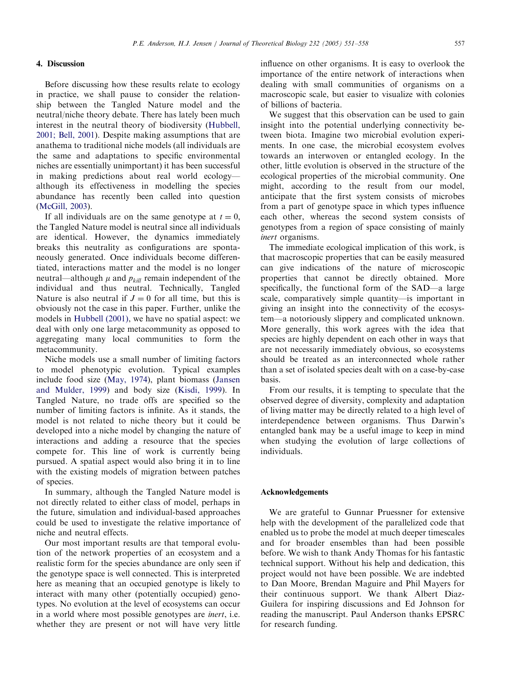#### P.E. Anderson, H.J. Jensen / Journal of Theoretical Biology 232 (2005) 551–558 557

#### 4. Discussion

Before discussing how these results relate to ecology in practice, we shall pause to consider the relationship between the Tangled Nature model and the neutral/niche theory debate. There has lately been much interest in the neutral theory of biodiversity [\(Hubbell,](#page-7-0) [2001; Bell,2001](#page-7-0)). Despite making assumptions that are anathema to traditional niche models (all individuals are the same and adaptations to specific environmental niches are essentially unimportant) it has been successful in making predictions about real world ecology although its effectiveness in modelling the species abundance has recently been called into question (McGill, 2003).

If all individuals are on the same genotype at  $t = 0$ , the Tangled Nature model is neutral since all individuals are identical. However, the dynamics immediately breaks this neutrality as configurations are spontaneously generated. Once individuals become differentiated, interactions matter and the model is no longer neutral—although  $\mu$  and  $p_{kill}$  remain independent of the individual and thus neutral. Technically, Tangled Nature is also neutral if  $J = 0$  for all time, but this is obviously not the case in this paper. Further, unlike the models in Hubbell  $(2001)$ , we have no spatial aspect: we deal with only one large metacommunity as opposed to aggregating many local communities to form the metacommunity.

Niche models use a small number of limiting factors to model phenotypic evolution. Typical examples include food size (May, 1974), plant biomass ([Jansen](#page-7-0) [and Mulder,1999](#page-7-0)) and body size ([Kisdi,1999](#page-7-0)). In Tangled Nature, no trade offs are specified so the number of limiting factors is infinite. As it stands, the model is not related to niche theory but it could be developed into a niche model by changing the nature of interactions and adding a resource that the species compete for. This line of work is currently being pursued. A spatial aspect would also bring it in to line with the existing models of migration between patches of species.

In summary, although the Tangled Nature model is not directly related to either class of model, perhaps in the future, simulation and individual-based approaches could be used to investigate the relative importance of niche and neutral effects.

Our most important results are that temporal evolution of the network properties of an ecosystem and a realistic form for the species abundance are only seen if the genotype space is well connected. This is interpreted here as meaning that an occupied genotype is likely to interact with many other (potentially occupied) genotypes. No evolution at the level of ecosystems can occur in a world where most possible genotypes are *inert*, i.e. whether they are present or not will have very little

influence on other organisms. It is easy to overlook the importance of the entire network of interactions when dealing with small communities of organisms on a macroscopic scale, but easier to visualize with colonies of billions of bacteria.

We suggest that this observation can be used to gain insight into the potential underlying connectivity between biota. Imagine two microbial evolution experiments. In one case, the microbial ecosystem evolves towards an interwoven or entangled ecology. In the other, little evolution is observed in the structure of the ecological properties of the microbial community. One might, according to the result from our model, anticipate that the first system consists of microbes from a part of genotype space in which types influence each other, whereas the second system consists of genotypes from a region of space consisting of mainly inert organisms.

The immediate ecological implication of this work, is that macroscopic properties that can be easily measured can give indications of the nature of microscopic properties that cannot be directly obtained. More specifically, the functional form of the SAD—a large scale, comparatively simple quantity—is important in giving an insight into the connectivity of the ecosystem—a notoriously slippery and complicated unknown. More generally, this work agrees with the idea that species are highly dependent on each other in ways that are not necessarily immediately obvious, so ecosystems should be treated as an interconnected whole rather than a set of isolated species dealt with on a case-by-case basis.

From our results, it is tempting to speculate that the observed degree of diversity, complexity and adaptation of living matter may be directly related to a high level of interdependence between organisms. Thus Darwin's entangled bank may be a useful image to keep in mind when studying the evolution of large collections of individuals.

#### Acknowledgements

We are grateful to Gunnar Pruessner for extensive help with the development of the parallelized code that enabled us to probe the model at much deeper timescales and for broader ensembles than had been possible before. We wish to thank Andy Thomas for his fantastic technical support. Without his help and dedication, this project would not have been possible. We are indebted to Dan Moore, Brendan Maguire and Phil Mayers for their continuous support. We thank Albert Diaz-Guilera for inspiring discussions and Ed Johnson for reading the manuscript. Paul Anderson thanks EPSRC for research funding.